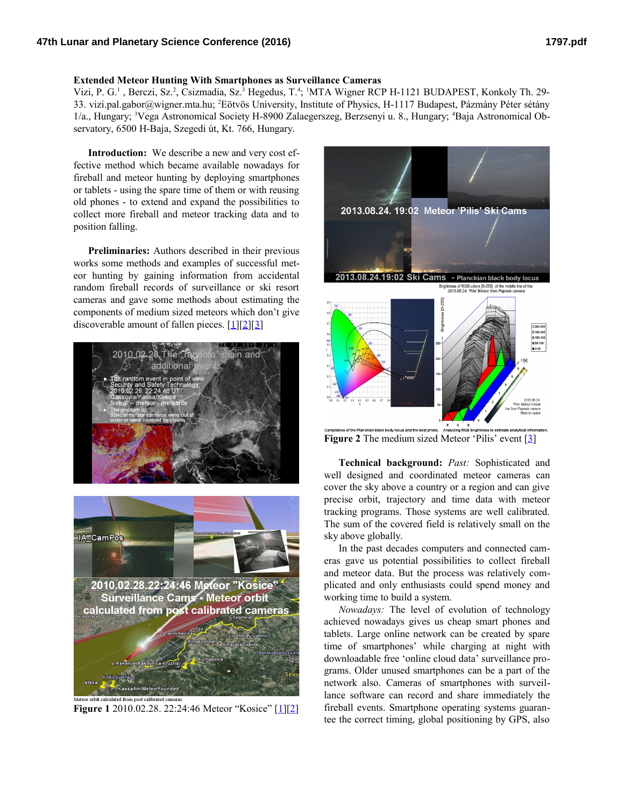## **Extended Meteor Hunting With Smartphones as Surveillance Cameras**

Vizi, P. G.<sup>1</sup>, Berczi, Sz.<sup>2</sup>, Csizmadia, Sz.<sup>3</sup> Hegedus, T.<sup>4</sup>; <sup>1</sup>MTA Wigner RCP H-1121 BUDAPEST, Konkoly Th. 29-33. vizi.pal.gabor@wigner.mta.hu; <sup>2</sup>Eötvös University, Institute of Physics, H-1117 Budapest, Pázmány Péter sétány 1/a., Hungary; 3Vega Astronomical Society H-8900 Zalaegerszeg, Berzsenyi u. 8., Hungary; 4Baja Astronomical Observatory, 6500 H-Baja, Szegedi út, Kt. 766, Hungary.

**Introduction:** We describe a new and very cost effective method which became available nowadays for fireball and meteor hunting by deploying smartphones or tablets - using the spare time of them or with reusing old phones - to extend and expand the possibilities to collect more fireball and meteor tracking data and to position falling.

**Preliminaries:** Authors described in their previous works some methods and examples of successful meteor hunting by gaining information from accidental random fireball records of surveillance or ski resort cameras and gave some methods about estimating the components of medium sized meteors which don't give discoverable amount of fallen pieces.  $[1][2][3]$  $[1][2][3]$  $[1][2][3]$ 



**Figure 1** 2010.02.28. 22:24:46 Meteor "Kosice" [\[1\]](http://www.lpi.usra.edu/meetings/lpsc2012/pdf/2816.pdf)[\[2\]](http://www.nipr.ac.jp/symposium2012/program/Met/E31_M_PalVizi_1.pdf)



**Figure 2** The medium sized Meteor 'Pilis' event [\[3\]](http://www.hou.usra.edu/meetings/lpsc2014/eposter/2838.pdf)

**Technical background:** *Past:* Sophisticated and well designed and coordinated meteor cameras can cover the sky above a country or a region and can give precise orbit, trajectory and time data with meteor tracking programs. Those systems are well calibrated. The sum of the covered field is relatively small on the sky above globally.

In the past decades computers and connected cameras gave us potential possibilities to collect fireball and meteor data. But the process was relatively complicated and only enthusiasts could spend money and working time to build a system.

*Nowadays:* The level of evolution of technology achieved nowadays gives us cheap smart phones and tablets. Large online network can be created by spare time of smartphones' while charging at night with downloadable free 'online cloud data' surveillance programs. Older unused smartphones can be a part of the network also. Cameras of smartphones with surveillance software can record and share immediately the fireball events. Smartphone operating systems guarantee the correct timing, global positioning by GPS, also